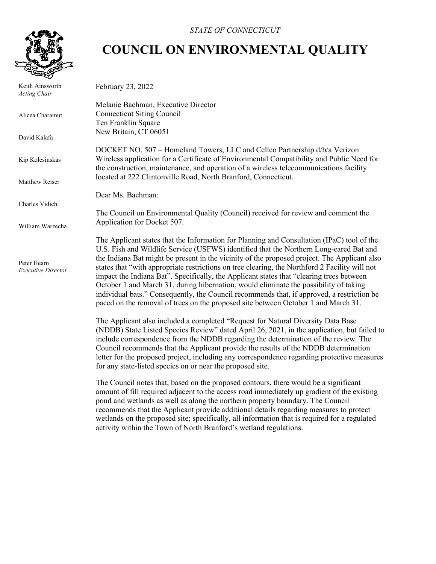

 Keith Ainsworth *Acting Chair*

Alicea Charamut

David Kalafa

Kip Kolesinskas

Matthew Reiser

Charles Vidich

William Warzecha

 Peter Hearn *Executive Director*

## *STATE OF CONNECTICUT*

## **COUNCIL ON ENVIRONMENTAL QUALITY**

February 23, 2022

Melanie Bachman, Executive Director Connecticut Siting Council Ten Franklin Square New Britain, CT 06051

DOCKET NO. 507 – Homeland Towers, LLC and Cellco Partnership d/b/a Verizon Wireless application for a Certificate of Environmental Compatibility and Public Need for the construction, maintenance, and operation of a wireless telecommunications facility located at 222 Clintonville Road, North Branford, Connecticut.

Dear Ms. Bachman:

The Council on Environmental Quality (Council) received for review and comment the Application for Docket 507.

The Applicant states that the Information for Planning and Consultation (IPaC) tool of the U.S. Fish and Wildlife Service (USFWS) identified that the Northern Long-eared Bat and the Indiana Bat might be present in the vicinity of the proposed project. The Applicant also states that "with appropriate restrictions on tree clearing, the Northford 2 Facility will not impact the Indiana Bat". Specifically, the Applicant states that "clearing trees between October 1 and March 31, during hibernation, would eliminate the possibility of taking individual bats." Consequently, the Council recommends that, if approved, a restriction be paced on the removal of trees on the proposed site between October 1 and March 31.

The Applicant also included a completed "Request for Natural Diversity Data Base (NDDB) State Listed Species Review" dated April 26, 2021, in the application, but failed to include correspondence from the NDDB regarding the determination of the review. The Council recommends that the Applicant provide the results of the NDDB determination letter for the proposed project, including any correspondence regarding protective measures for any state-listed species on or near the proposed site.

The Council notes that, based on the proposed contours, there would be a significant amount of fill required adjacent to the access road immediately up gradient of the existing pond and wetlands as well as along the northern property boundary. The Council recommends that the Applicant provide additional details regarding measures to protect wetlands on the proposed site; specifically, all information that is required for a regulated activity within the Town of North Branford's wetland regulations.